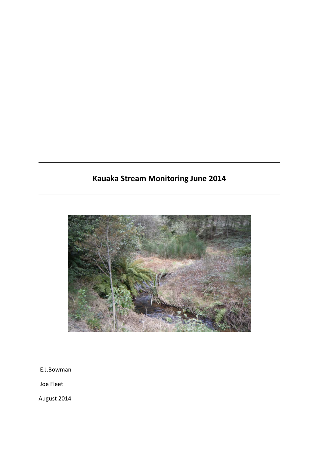# **Kauaka Stream Monitoring June 2014**



E.J.Bowman

Joe Fleet

August 2014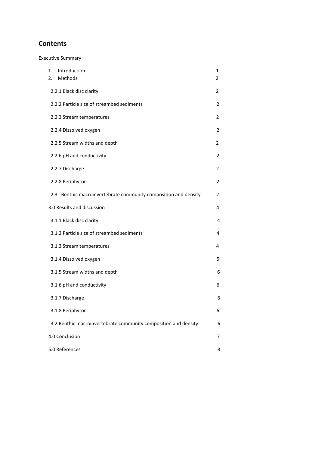# **Contents**

Executive Summary

| Introduction<br>1.<br>Methods<br>2.                             | 1<br>2 |
|-----------------------------------------------------------------|--------|
| 2.2.1 Black disc clarity                                        | 2      |
| 2.2.2 Particle size of streambed sediments                      | 2      |
| 2.2.3 Stream temperatures                                       | 2      |
| 2.2.4 Dissolved oxygen                                          | 2      |
| 2.2.5 Stream widths and depth                                   | 2      |
| 2.2.6 pH and conductivity                                       | 2      |
| 2.2.7 Discharge                                                 | 2      |
| 2.2.8 Periphyton                                                | 2      |
| 2.3 Benthic macroinvertebrate community composition and density | 2      |
| 3.0 Results and discussion                                      | 4      |
| 3.1.1 Black disc clarity                                        | 4      |
| 3.1.2 Particle size of streambed sediments                      | 4      |
| 3.1.3 Stream temperatures                                       | 4      |
| 3.1.4 Dissolved oxygen                                          | 5      |
| 3.1.5 Stream widths and depth                                   | 6      |
| 3.1.6 pH and conductivity                                       | 6      |
| 3.1.7 Discharge                                                 | 6      |
| 3.1.8 Periphyton                                                | 6      |
| 3.2 Benthic macroinvertebrate community composition and density | 6      |
| 4.0 Conclusion                                                  | 7      |
| 5.0 References                                                  | 8      |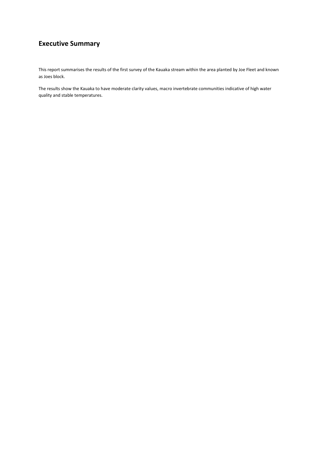# **Executive Summary**

This report summarises the results of the first survey of the Kauaka stream within the area planted by Joe Fleet and known as Joes block.

The results show the Kauaka to have moderate clarity values, macro invertebrate communities indicative of high water quality and stable temperatures.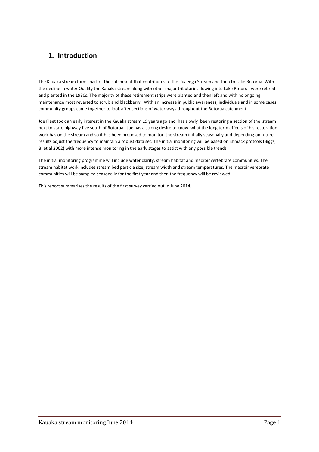# **1. Introduction**

The Kauaka stream forms part of the catchment that contributes to the Puaenga Stream and then to Lake Rotorua. With the decline in water Quality the Kauaka stream along with other major tributaries flowing into Lake Rotorua were retired and planted in the 1980s. The majority of these retirement strips were planted and then left and with no ongoing maintenance most reverted to scrub and blackberry. With an increase in public awareness, individuals and in some cases community groups came together to look after sections of water ways throughout the Rotorua catchment.

Joe Fleet took an early interest in the Kauaka stream 19 years ago and has slowly been restoring a section of the stream next to state highway five south of Rotorua. Joe has a strong desire to know what the long term effects of his restoration work has on the stream and so it has been proposed to monitor the stream initially seasonally and depending on future results adjust the frequency to maintain a robust data set. The initial monitoring will be based on Shmack protcols (Biggs, B. et al 2002) with more intense monitoring in the early stages to assist with any possible trends

The initial monitoring programme will include water clarity, stream habitat and macroinvertebrate communities. The stream habitat work includes stream bed particle size, stream width and stream temperatures. The macroinverebrate communities will be sampled seasonally for the first year and then the frequency will be reviewed.

This report summarises the results of the first survey carried out in June 2014.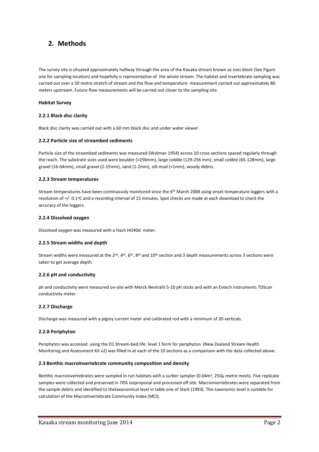# **2. Methods**

The survey site is situated approximately halfway through the area of the Kauaka stream known as Joes block (See Figure one for sampling location) and hopefully is representative of the whole stream. The habitat and invertebrate sampling was carried out over a 50 metre stretch of stream and the flow and temperature measurement carried out approximately 80 meters upstream. Future flow measurements will be carried out closer to the sampling site.

### **Habitat Survey**

### **2.2.1 Black disc clarity**

Black disc clarity was carried out with a 60 mm black disc and under water viewer.

### **2.2.2 Particle size of streambed sediments**

Particle size of the streambed sediments was measured (Wolman 1954) across 10 cross sections spaced regularly through the reach. The substrate sizes used were boulder (>256mm), large cobble (129-256 mm), small cobble (65-128mm), large gravel (16-64mm), small gravel (2-15mm), sand (1-2mm), silt-mud (<1mm), woody debris.

### **2.2.3 Stream temperatures**

Stream temperatures have been continuously monitored since the 6<sup>th</sup> March 2008 using onset temperature loggers with a resolution of +/- 0.1°C and a recording interval of 15 minutes. Spot checks are made at each download to check the accuracy of the loggers.

### **2.2.4 Dissolved oxygen**

Dissolved oxygen was measured with a Hach HO40d meter.

### **2.2.5 Stream widths and depth**

Stream widths were measured at the  $2^{nd}$ ,  $4^{th}$ ,  $6^{th}$ ,  $8^{th}$  and  $10^{th}$  section and 3 depth measurements across 3 sections were taken to get average depth.

### **2.2.6 pH and conductivity**

ph and conductivity were measured on-site with Merck Nevtralit 5-10 pH sticks and with an Evtech instruments TDScan conductivity meter.

### **2.2.7 Discharge**

Discharge was measured with a pigmy current meter and calibrated rod with a minimum of 20 verticals.

### **2.2.8 Periphyton**

Periphyton was accessed using the D1 Stream-bed life: level 1 form for periphyton (New Zealand Stream Health Monitoring and Assessment Kit v2) was filled in at each of the 10 sections as a comparison with the data collected above.

### **2.3 Benthic macroinvertebrate community composition and density**

Benthic macroinvertebrates were sampled in run habitats with a surber sampler (0.04m<sup>2</sup>, 250 $\mu$  metre mesh). Five replicate samples were collected and preserved in 70% isoproponal and processed off site. Macroinvertebrates were separated from the sample debris and identified to thetaxonomical level in table one of Stark (1993). This taxonomic level is suitable for calculation of the Macroinvertebrate Community Index (MCI).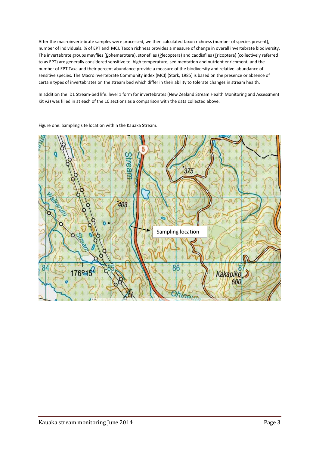After the macroinvertebrate samples were processed, we then calculated taxon richness (number of species present), number of individuals. % of EPT and MCI. Taxon richness provides a measure of change in overall invertebrate biodiversity. The invertebrate groups mayflies (Ephemerotera), stoneflies (Plecoptera) and caddisflies (Tricoptera) (collectively referred to as EPT) are generally considered sensitive to high temperature, sedimentation and nutrient enrichment, and the number of EPT Taxa and their percent abundance provide a measure of the biodiversity and relative abundance of sensitive species. The Macroinvertebrate Community index (MCI) (Stark, 1985) is based on the presence or absence of certain types of invertebrates on the stream bed which differ in their ability to tolerate changes in stream health.

In addition the D1 Stream-bed life: level 1 form for invertebrates (New Zealand Stream Health Monitoring and Assessment Kit v2) was filled in at each of the 10 sections as a comparison with the data collected above.



Figure one: Sampling site location within the Kauaka Stream.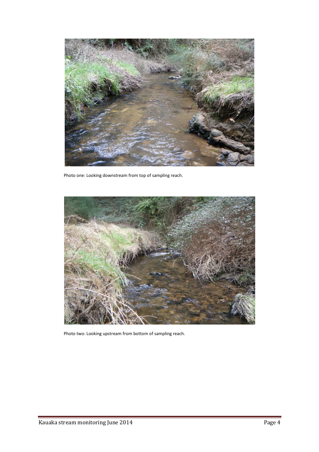

Photo one: Looking downstream from top of sampling reach.



Photo two: Looking upstream from bottom of sampling reach.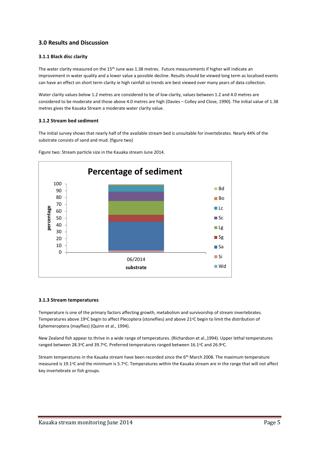### **3.0 Results and Discussion**

### **3.1.1 Black disc clarity**

The water clarity measured on the 15<sup>th</sup> June was 1.38 metres. Future measurements if higher will indicate an improvement in water quality and a lower value a possible decline. Results should be viewed long term as localised events can have an effect on short term clarity ie high rainfall so trends are best viewed over many years of data collection.

Water clarity values below 1.2 metres are considered to be of low clarity, values between 1.2 and 4.0 metres are considered to be moderate and those above 4.0 metres are high (Davies – Colley and Close, 1990). The initial value of 1.38 metres gives the Kauaka Stream a moderate water clarity value.

### **3.1.2 Stream bed sediment**

The initial survey shows that nearly half of the available stream bed is unsuitable for invertebrates. Nearly 44% of the substrate consists of sand and mud. (figure two)



Figure two: Stream particle size in the Kauaka stream June 2014.

### **3.1.3 Stream temperatures**

Temperature is one of the primary factors affecting growth, metabolism and survivorship of stream invertebrates. Temperatures above 19°C begin to affect Plecoptera (stoneflies) and above 21°C begin to limit the distribution of Ephemeroptera (mayflies) (Quinn et al., 1994).

New Zealand fish appear to thrive in a wide range of temperatures. (Richardson et al.,1994). Upper lethal temperatures ranged between 28.3°C and 39.7°C. Preferred temperatures ranged between 16.1°C and 26.9°C.

Stream temperatures in the Kauaka stream have been recorded since the 6<sup>th</sup> March 2008. The maximum temperature measured is 19.1°C and the minimum is 5.7°C. Temperatures within the Kauaka stream are in the range that will not affect key invertebrate or fish groups.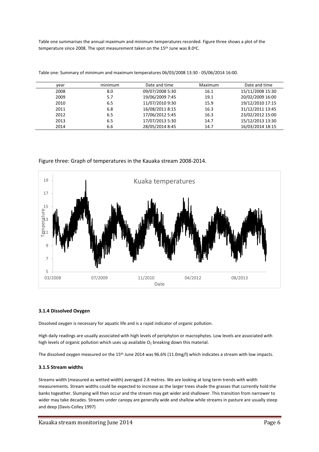Table one summarises the annual maximum and minimum temperatures recorded. Figure three shows a plot of the temperature since 2008. The spot measurement taken on the 15<sup>th</sup> June was 8.0°C.

| vear | minimum | Date and time   | Maximum | Date and time    |
|------|---------|-----------------|---------|------------------|
| 2008 | 8.0     | 09/07/2008 5:30 | 16.1    | 15/11/2008 15:30 |
| 2009 | 5.7     | 19/06/2009 7:45 | 19.1    | 20/02/2009 16:00 |
| 2010 | 6.5     | 11/07/2010 9:30 | 15.9    | 19/12/2010 17:15 |
| 2011 | 6.8     | 16/08/2011 8:15 | 16.3    | 31/12/2011 13:45 |
| 2012 | 6.5     | 17/06/2012 5:45 | 16.3    | 23/02/2012 15:00 |
| 2013 | 6.5     | 17/07/2013 5:30 | 14.7    | 15/12/2013 13:30 |
| 2014 | 6.6     | 28/05/2014 8:45 | 14.7    | 16/03/2014 18:15 |

Table one: Summary of minimum and maximum temperatures 06/03/2008 13:30 - 05/06/2014 16:00.

### Figure three: Graph of temperatures in the Kauaka stream 2008-2014.



### **3.1.4 Dissolved Oxygen**

Dissolved oxygen is necessary for aquatic life and is a rapid indicator of organic pollution.

High daily readings are usually associated with high levels of periphyton or macrophytes. Low levels are associated with high levels of organic pollution which uses up available  $O_2$  breaking down this material.

The dissolved oxygen measured on the 15th June 2014 was 96.6% (11.0mg/l) which indicates a stream with low impacts.

### **3.1.5 Stream widths**

Streams width (measured as wetted width) averaged 2.8 metres. We are looking at long term trends with width measurements. Stream widths could be expected to increase as the larger trees shade the grasses that currently hold the banks togeather. Slumping will then occur and the stream may get wider and shallower. This transition from narrower to wider may take decades. Streams under canopy are generally wide and shallow while streams in pasture are usually steep and deep (Davis-Colley 1997)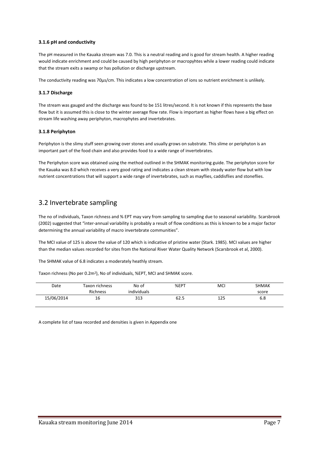### **3.1.6 pH and conductivity**

The pH measured in the Kauaka stream was 7.0. This is a neutral reading and is good for stream health. A higher reading would indicate enrichment and could be caused by high periphyton or macropyhtes while a lower reading could indicate that the stream exits a swamp or has pollution or discharge upstream.

The conductivity reading was 70μs/cm. This indicates a low concentration of ions so nutrient enrichment is unlikely.

### **3.1.7 Discharge**

The stream was gauged and the discharge was found to be 151 litres/second. It is not known if this represents the base flow but it is assumed this is close to the winter average flow rate. Flow is important as higher flows have a big effect on stream life washing away periphyton, macrophytes and invertebrates.

### **3.1.8 Periphyton**

Periphyton is the slimy stuff seen growing over stones and usually grows on substrate. This slime or periphyton is an important part of the food chain and also provides food to a wide range of invertebrates.

The Periphyton score was obtained using the method outlined in the SHMAK monitoring guide. The periphyton score for the Kauaka was 8.0 which receives a very good rating and indicates a clean stream with steady water flow but with low nutrient concentrations that will support a wide range of invertebrates, such as mayflies, caddisflies and stoneflies.

# 3.2 Invertebrate sampling

The no of individuals, Taxon richness and % EPT may vary from sampling to sampling due to seasonal variability. Scarsbrook (2002) suggested that "inter-annual variability is probably a result of flow conditions as this is known to be a major factor determining the annual variability of macro invertebrate communities".

The MCI value of 125 is above the value of 120 which is indicative of pristine water (Stark. 1985). MCI values are higher than the median values recorded for sites from the National River Water Quality Network (Scarsbrook et al, 2000).

The SHMAK value of 6.8 indicates a moderately heathly stream.

Taxon richness (No per 0.2m<sup>2</sup>), No of individuals, %EPT, MCI and SHMAK score.

| Date       | Taxon richness | No of       | %EPT | MCI | <b>SHMAK</b> |
|------------|----------------|-------------|------|-----|--------------|
|            | Richness       | individuals |      |     | score        |
| 15/06/2014 | 16             | 313         | 62.5 | 125 | 6.8          |

A complete list of taxa recorded and densities is given in Appendix one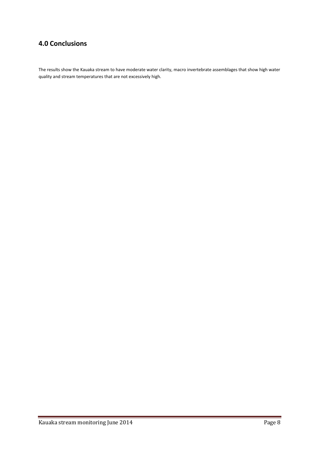# **4.0 Conclusions**

The results show the Kauaka stream to have moderate water clarity, macro invertebrate assemblages that show high water quality and stream temperatures that are not excessively high.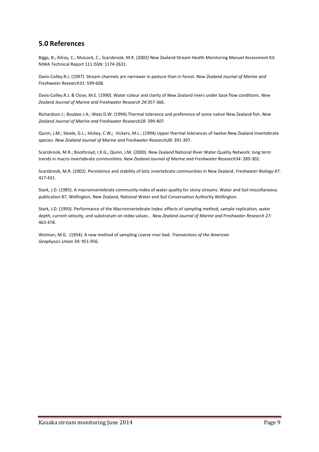# **5.0 References**

Biggs, B.; Kilroy, C.; Mulcock, C.; Scarsbrook, M.R. (2002) New Zealand Stream Health Monitoring Manuel Assessment Kit. NIWA Technical Report 111 ISSN: 1174-2631.

Davis-Colley.R.J. (1997). Stream channels are narrower in pasture than in forest. *New Zealand Journal of Marine and Freshwater Research31:* 599-608.

Davis-Colley.R.J. & Close, M.E. (1990). Water colour and clarity of New Zealand rivers under base flow conditions. *New Zealand Journal of Marine and Freshwater Research 24*:357-366.

Richardson J.; Boubee J.A.; West D.W. (1994).Thermal tolerance and preference of some native New Zealand fish. *New Zealand Journal of Marine and Freshwater Research28:* 399-407.

Quinn, J.M.; Steele, G.L.; Hickey, C.W,; Vickers, M.L.; (1994).Upper thermal tolerances of twelve New Zealand invertebrate species. *New Zealand Journal of Marine and Freshwater Research28:* 391-397.

Scarsbrook, M.R.; Boothroyd, I.K.G.; Quinn, J.M. (2000). New Zealand National River Water Quality Network: long term trends in macro invertebrate communities. *New Zealand Journal of Marine and Freshwater Research34:* 289-302.

Scarsbrook, M.R. (2002). Persistence and stability of lotic invertebrate communities in New Zealand. *Freshwater Biology 47:* 417-431.

Stark, J.D. (1985). A macroinvertebrate community index of water quality for stony streams. Water and Soil miscellaneous publication 87, Wellington, New Zealand, National Water and Soil Conservation Authority Wellington.

Stark, J.D. (1993). Performance of the Macroinvertebrate Index: effects of sampling method, sample replication, water depth, current velocity, and substratum on index values. . *New Zealand Journal of Marine and Freshwater Research 27:* 463-478.

Wolman, M.G. (1954). A new method of sampling coarse river bed. *Transactions of the American Geophysics Union 34:* 951-956.